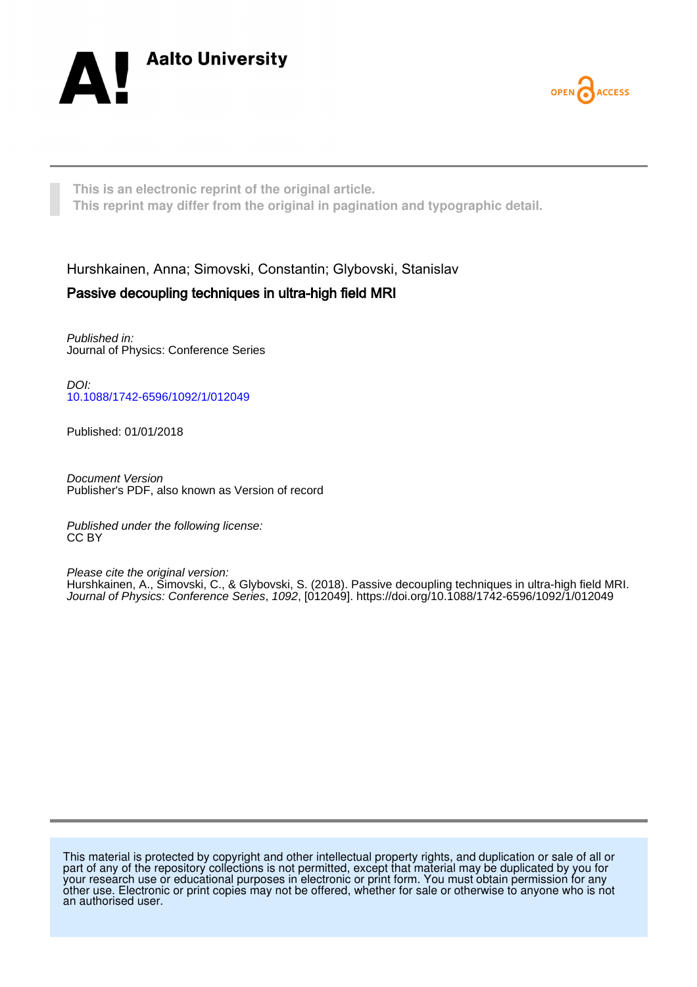



**This is an electronic reprint of the original article. This reprint may differ from the original in pagination and typographic detail.**

Hurshkainen, Anna; Simovski, Constantin; Glybovski, Stanislav

## Passive decoupling techniques in ultra-high field MRI

Published in: Journal of Physics: Conference Series

DOI: [10.1088/1742-6596/1092/1/012049](https://doi.org/10.1088/1742-6596/1092/1/012049)

Published: 01/01/2018

Document Version Publisher's PDF, also known as Version of record

Published under the following license: CC BY

Please cite the original version: Hurshkainen, A., Simovski, C., & Glybovski, S. (2018). Passive decoupling techniques in ultra-high field MRI. Journal of Physics: Conference Series, 1092, [012049].<https://doi.org/10.1088/1742-6596/1092/1/012049>

This material is protected by copyright and other intellectual property rights, and duplication or sale of all or part of any of the repository collections is not permitted, except that material may be duplicated by you for your research use or educational purposes in electronic or print form. You must obtain permission for any other use. Electronic or print copies may not be offered, whether for sale or otherwise to anyone who is not an authorised user.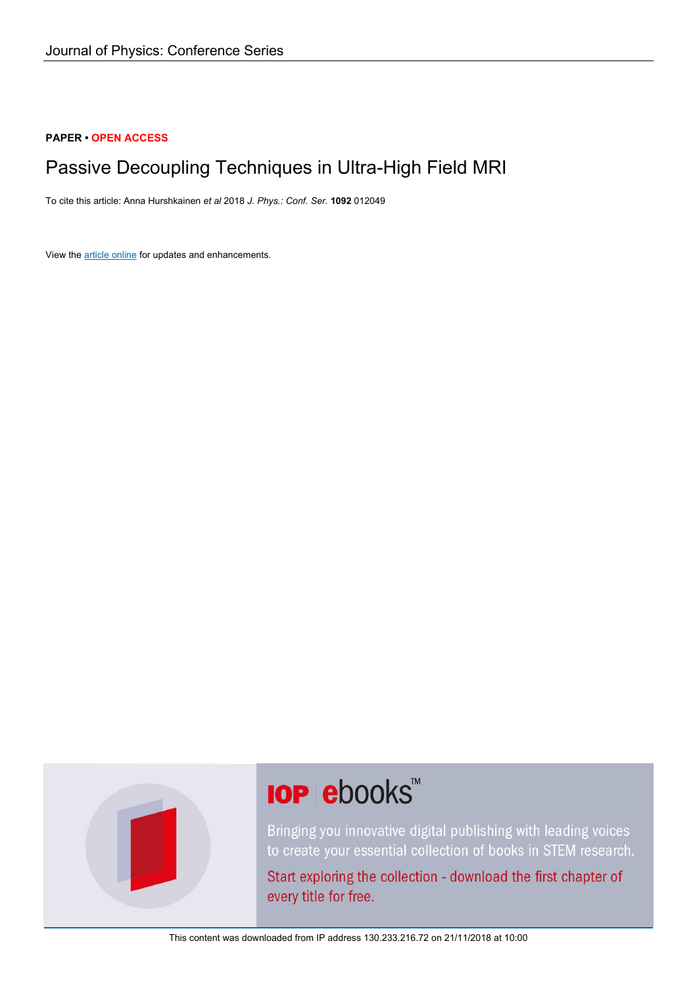### **PAPER • OPEN ACCESS**

## Passive Decoupling Techniques in Ultra-High Field MRI

To cite this article: Anna Hurshkainen *et al* 2018 *J. Phys.: Conf. Ser.* **1092** 012049

View the article online for updates and enhancements.



# **IOP ebooks™**

Bringing you innovative digital publishing with leading voices to create your essential collection of books in STEM research.

Start exploring the collection - download the first chapter of every title for free.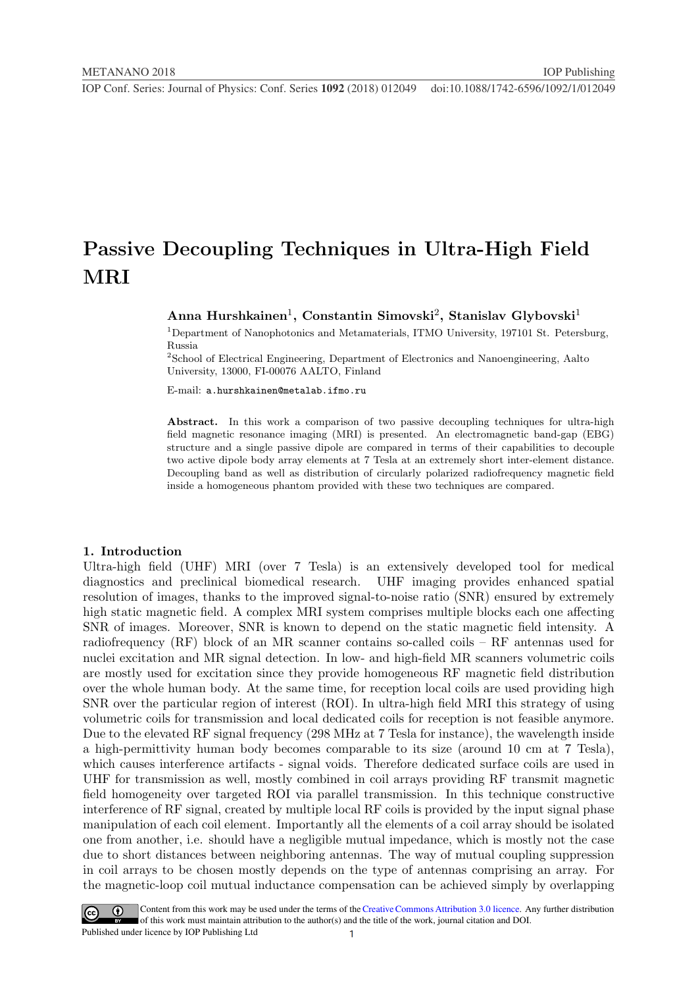**1234567890** ''"" IOP Conf. Series: Journal of Physics: Conf. Series **1092** (2018) 012049 doi :10.1088/1742-6596/1092/1/012049

# **Passive Decoupling Techniques in Ultra-High Field MRI**

**Anna Hurshkainen**1**, Constantin Simovski**2**, Stanislav Glybovski**<sup>1</sup>

<sup>1</sup>Department of Nanophotonics and Metamaterials, ITMO University, 197101 St. Petersburg, Russia

<sup>2</sup>School of Electrical Engineering, Department of Electronics and Nanoengineering, Aalto University, 13000, FI-00076 AALTO, Finland

E-mail: a.hurshkainen@metalab.ifmo.ru

Abstract. In this work a comparison of two passive decoupling techniques for ultra-high field magnetic resonance imaging (MRI) is presented. An electromagnetic band-gap (EBG) structure and a single passive dipole are compared in terms of their capabilities to decouple two active dipole body array elements at 7 Tesla at an extremely short inter-element distance. Decoupling band as well as distribution of circularly polarized radiofrequency magnetic field inside a homogeneous phantom provided with these two techniques are compared.

#### **1. Introduction**

Ultra-high field (UHF) MRI (over 7 Tesla) is an extensively developed tool for medical diagnostics and preclinical biomedical research. UHF imaging provides enhanced spatial resolution of images, thanks to the improved signal-to-noise ratio (SNR) ensured by extremely high static magnetic field. A complex MRI system comprises multiple blocks each one affecting SNR of images. Moreover, SNR is known to depend on the static magnetic field intensity. A radiofrequency (RF) block of an MR scanner contains so-called coils – RF antennas used for nuclei excitation and MR signal detection. In low- and high-field MR scanners volumetric coils are mostly used for excitation since they provide homogeneous RF magnetic field distribution over the whole human body. At the same time, for reception local coils are used providing high SNR over the particular region of interest (ROI). In ultra-high field MRI this strategy of using volumetric coils for transmission and local dedicated coils for reception is not feasible anymore. Due to the elevated RF signal frequency (298 MHz at 7 Tesla for instance), the wavelength inside a high-permittivity human body becomes comparable to its size (around 10 cm at 7 Tesla), which causes interference artifacts - signal voids. Therefore dedicated surface coils are used in UHF for transmission as well, mostly combined in coil arrays providing RF transmit magnetic field homogeneity over targeted ROI via parallel transmission. In this technique constructive interference of RF signal, created by multiple local RF coils is provided by the input signal phase manipulation of each coil element. Importantly all the elements of a coil array should be isolated one from another, i.e. should have a negligible mutual impedance, which is mostly not the case due to short distances between neighboring antennas. The way of mutual coupling suppression in coil arrays to be chosen mostly depends on the type of antennas comprising an array. For the magnetic-loop coil mutual inductance compensation can be achieved simply by overlapping

Content from this work may be used under the terms of theCreative Commons Attribution 3.0 licence. Any further distribution of this work must maintain attribution to the author(s) and the title of the work, journal citation and DOI. Published under licence by IOP Publishing Ltd  $\mathbf{1}$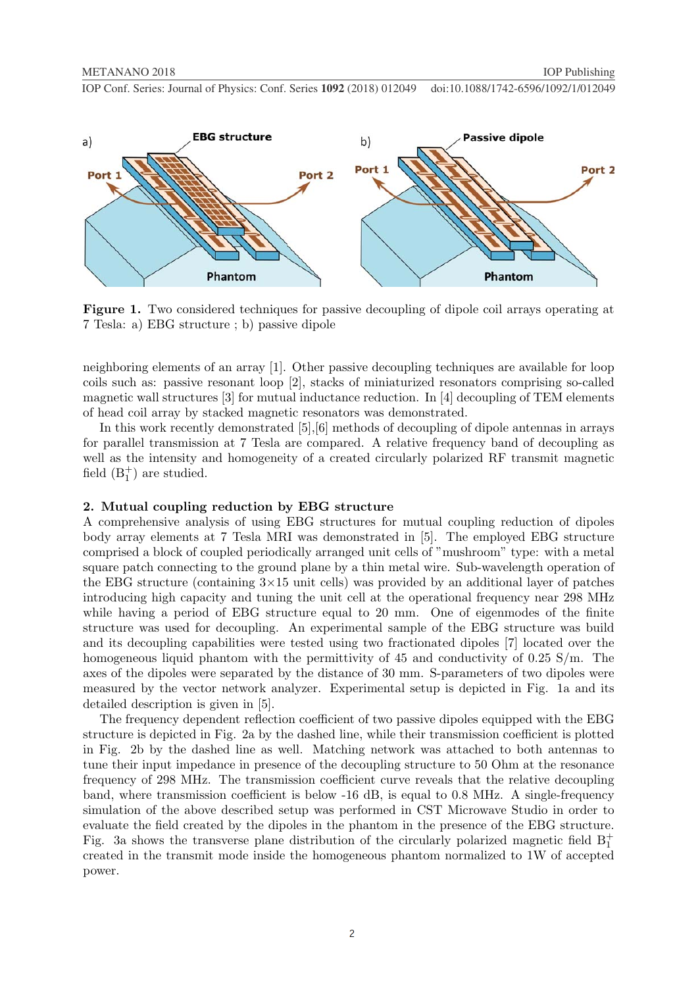**1234567890** ''"" IOP Conf. Series: Journal of Physics: Conf. Series **1092** (2018) 012049 doi :10.1088/1742-6596/1092/1/012049



**Figure 1.** Two considered techniques for passive decoupling of dipole coil arrays operating at 7 Tesla: a) EBG structure ; b) passive dipole

neighboring elements of an array [1]. Other passive decoupling techniques are available for loop coils such as: passive resonant loop [2], stacks of miniaturized resonators comprising so-called magnetic wall structures [3] for mutual inductance reduction. In [4] decoupling of TEM elements of head coil array by stacked magnetic resonators was demonstrated.

In this work recently demonstrated [5],[6] methods of decoupling of dipole antennas in arrays for parallel transmission at 7 Tesla are compared. A relative frequency band of decoupling as well as the intensity and homogeneity of a created circularly polarized RF transmit magnetic field  $(B_1^+)$  are studied.

#### **2. Mutual coupling reduction by EBG structure**

A comprehensive analysis of using EBG structures for mutual coupling reduction of dipoles body array elements at 7 Tesla MRI was demonstrated in [5]. The employed EBG structure comprised a block of coupled periodically arranged unit cells of "mushroom" type: with a metal square patch connecting to the ground plane by a thin metal wire. Sub-wavelength operation of the EBG structure (containing  $3\times15$  unit cells) was provided by an additional layer of patches introducing high capacity and tuning the unit cell at the operational frequency near 298 MHz while having a period of EBG structure equal to 20 mm. One of eigenmodes of the finite structure was used for decoupling. An experimental sample of the EBG structure was build and its decoupling capabilities were tested using two fractionated dipoles [7] located over the homogeneous liquid phantom with the permittivity of 45 and conductivity of 0.25  $S/m$ . The axes of the dipoles were separated by the distance of 30 mm. S-parameters of two dipoles were measured by the vector network analyzer. Experimental setup is depicted in Fig. 1a and its detailed description is given in [5].

The frequency dependent reflection coefficient of two passive dipoles equipped with the EBG structure is depicted in Fig. 2a by the dashed line, while their transmission coefficient is plotted in Fig. 2b by the dashed line as well. Matching network was attached to both antennas to tune their input impedance in presence of the decoupling structure to 50 Ohm at the resonance frequency of 298 MHz. The transmission coefficient curve reveals that the relative decoupling band, where transmission coefficient is below -16 dB, is equal to 0.8 MHz. A single-frequency simulation of the above described setup was performed in CST Microwave Studio in order to evaluate the field created by the dipoles in the phantom in the presence of the EBG structure. Fig. 3a shows the transverse plane distribution of the circularly polarized magnetic field  $B_1^+$ created in the transmit mode inside the homogeneous phantom normalized to 1W of accepted power.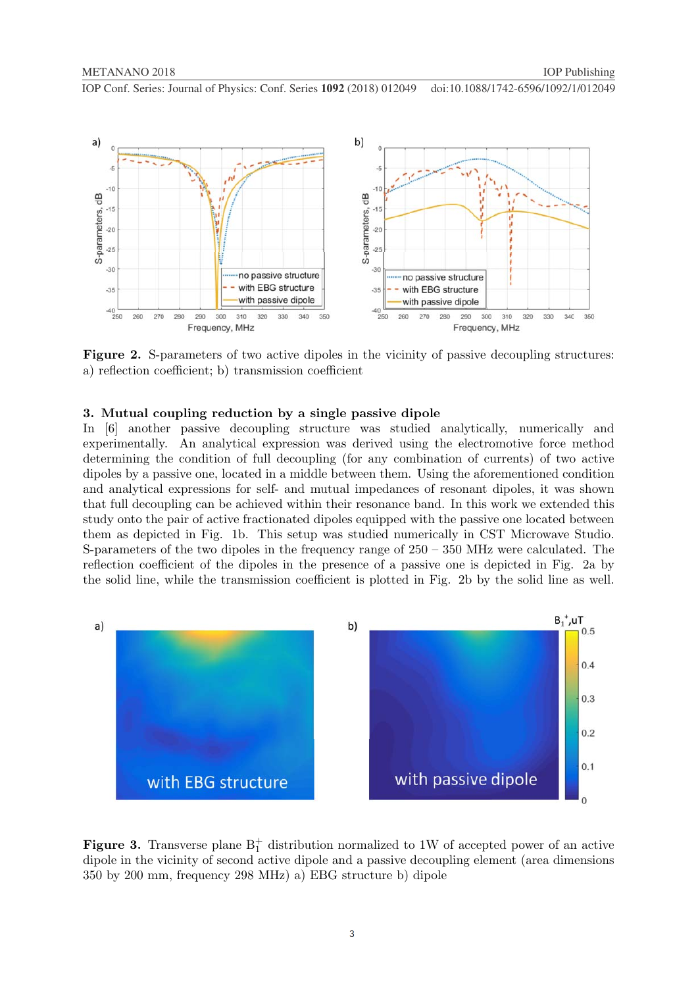**1234567890** ''"" IOP Conf. Series: Journal of Physics: Conf. Series **1092** (2018) 012049 doi :10.1088/1742-6596/1092/1/012049



**Figure 2.** S-parameters of two active dipoles in the vicinity of passive decoupling structures: a) reflection coefficient; b) transmission coefficient

#### **3. Mutual coupling reduction by a single passive dipole**

In [6] another passive decoupling structure was studied analytically, numerically and experimentally. An analytical expression was derived using the electromotive force method determining the condition of full decoupling (for any combination of currents) of two active dipoles by a passive one, located in a middle between them. Using the aforementioned condition and analytical expressions for self- and mutual impedances of resonant dipoles, it was shown that full decoupling can be achieved within their resonance band. In this work we extended this study onto the pair of active fractionated dipoles equipped with the passive one located between them as depicted in Fig. 1b. This setup was studied numerically in CST Microwave Studio. S-parameters of the two dipoles in the frequency range of 250 – 350 MHz were calculated. The reflection coefficient of the dipoles in the presence of a passive one is depicted in Fig. 2a by the solid line, while the transmission coefficient is plotted in Fig. 2b by the solid line as well.



**Figure 3.** Transverse plane  $B_1^+$  distribution normalized to 1W of accepted power of an active dipole in the vicinity of second active dipole and a passive decoupling element (area dimensions 350 by 200 mm, frequency 298 MHz) a) EBG structure b) dipole